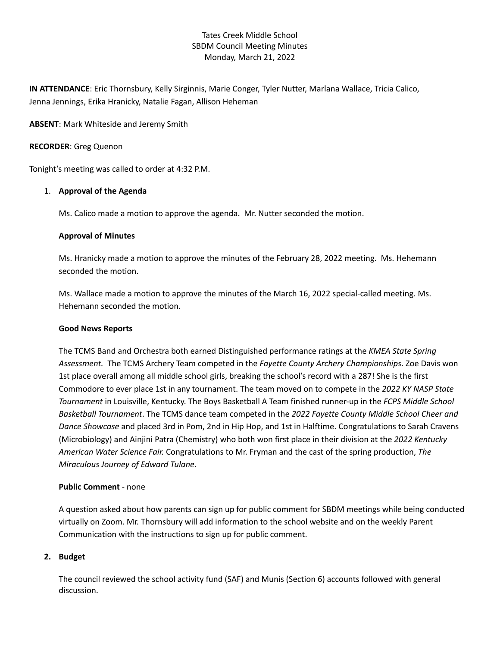# Tates Creek Middle School SBDM Council Meeting Minutes Monday, March 21, 2022

**IN ATTENDANCE**: Eric Thornsbury, Kelly Sirginnis, Marie Conger, Tyler Nutter, Marlana Wallace, Tricia Calico, Jenna Jennings, Erika Hranicky, Natalie Fagan, Allison Heheman

**ABSENT**: Mark Whiteside and Jeremy Smith

### **RECORDER**: Greg Quenon

Tonight's meeting was called to order at 4:32 P.M.

## 1. **Approval of the Agenda**

Ms. Calico made a motion to approve the agenda. Mr. Nutter seconded the motion.

## **Approval of Minutes**

Ms. Hranicky made a motion to approve the minutes of the February 28, 2022 meeting. Ms. Hehemann seconded the motion.

Ms. Wallace made a motion to approve the minutes of the March 16, 2022 special-called meeting. Ms. Hehemann seconded the motion.

#### **Good News Reports**

The TCMS Band and Orchestra both earned Distinguished performance ratings at the *KMEA State Spring Assessment.* The TCMS Archery Team competed in the *Fayette County Archery Championships*. Zoe Davis won 1st place overall among all middle school girls, breaking the school's record with a 287! She is the first Commodore to ever place 1st in any tournament. The team moved on to compete in the *2022 KY NASP State Tournament* in Louisville, Kentucky. The Boys Basketball A Team finished runner-up in the *FCPS Middle School Basketball Tournament*. The TCMS dance team competed in the *2022 Fayette County Middle School Cheer and Dance Showcase* and placed 3rd in Pom, 2nd in Hip Hop, and 1st in Halftime. Congratulations to Sarah Cravens (Microbiology) and Ainjini Patra (Chemistry) who both won first place in their division at the *2022 Kentucky American Water Science Fair.* Congratulations to Mr. Fryman and the cast of the spring production, *The Miraculous Journey of Edward Tulane*.

### **Public Comment** - none

A question asked about how parents can sign up for public comment for SBDM meetings while being conducted virtually on Zoom. Mr. Thornsbury will add information to the school website and on the weekly Parent Communication with the instructions to sign up for public comment.

#### **2. Budget**

The council reviewed the school activity fund (SAF) and Munis (Section 6) accounts followed with general discussion.